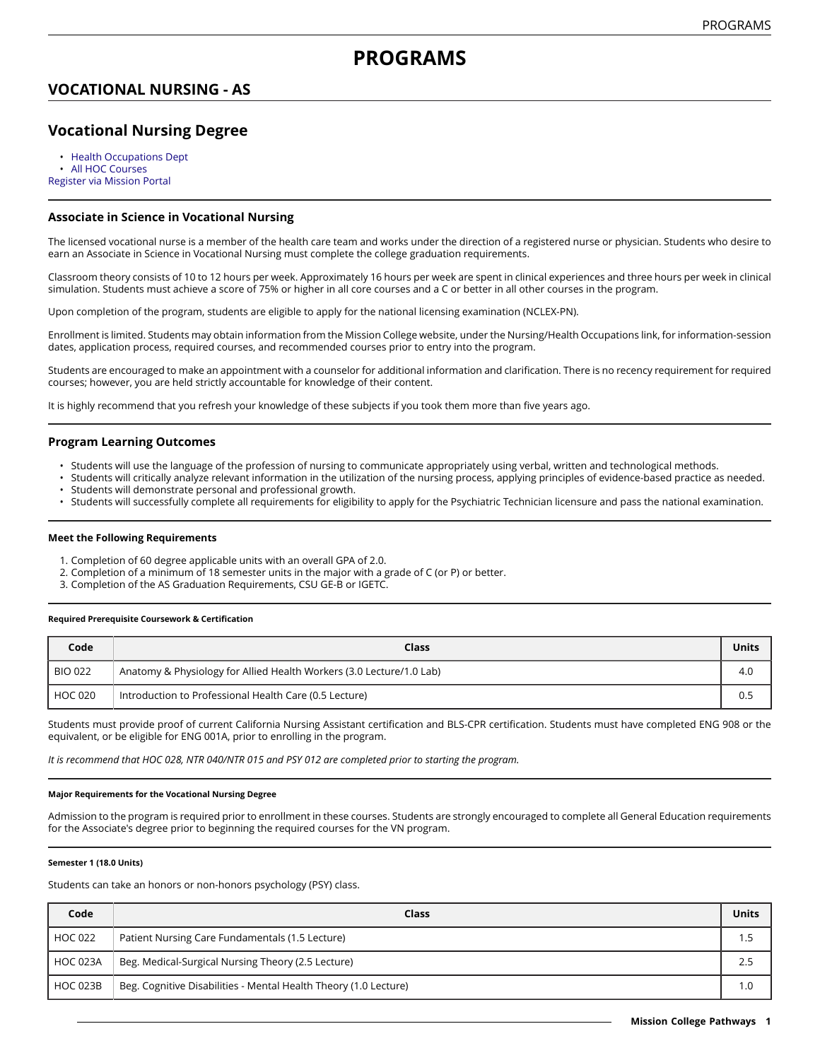## **VOCATIONAL NURSING - AS**

# **Vocational Nursing Degree**

• [Health Occupations Dept](https://missioncollege.edu/depts/health-occupations-nursing/index.html) [All HOC Courses](http://majors.missioncollege.edu/current/courses/hoc.html) [Register via Mission Portal](https://web.wvm.edu/)

### **Associate in Science in Vocational Nursing**

The licensed vocational nurse is a member of the health care team and works under the direction of a registered nurse or physician. Students who desire to earn an Associate in Science in Vocational Nursing must complete the college graduation requirements.

Classroom theory consists of 10 to 12 hours per week. Approximately 16 hours per week are spent in clinical experiences and three hours per week in clinical simulation. Students must achieve a score of 75% or higher in all core courses and a C or better in all other courses in the program.

Upon completion of the program, students are eligible to apply for the national licensing examination (NCLEX-PN).

Enrollment is limited. Students may obtain information from the Mission College website, under the Nursing/Health Occupations link, for information-session dates, application process, required courses, and recommended courses prior to entry into the program.

Students are encouraged to make an appointment with a counselor for additional information and clarification. There is no recency requirement for required courses; however, you are held strictly accountable for knowledge of their content.

It is highly recommend that you refresh your knowledge of these subjects if you took them more than five years ago.

### **Program Learning Outcomes**

- Students will use the language of the profession of nursing to communicate appropriately using verbal, written and technological methods.
- Students will critically analyze relevant information in the utilization of the nursing process, applying principles of evidence-based practice as needed. Students will demonstrate personal and professional growth.
- Students will successfully complete all requirements for eligibility to apply for the Psychiatric Technician licensure and pass the national examination.

#### **Meet the Following Requirements**

- 1. Completion of 60 degree applicable units with an overall GPA of 2.0.
- 2. Completion of a minimum of 18 semester units in the major with a grade of C (or P) or better.
- 3. Completion of the AS Graduation Requirements, CSU GE-B or IGETC.

#### **Required Prerequisite Coursework & Certification**

| Code           | Class                                                                | <b>Units</b> |
|----------------|----------------------------------------------------------------------|--------------|
| <b>BIO 022</b> | Anatomy & Physiology for Allied Health Workers (3.0 Lecture/1.0 Lab) | 4.0          |
| HOC 020        | Introduction to Professional Health Care (0.5 Lecture)               | 0.5          |

Students must provide proof of current California Nursing Assistant certification and BLS-CPR certification. Students must have completed ENG 908 or the equivalent, or be eligible for ENG 001A, prior to enrolling in the program.

It is recommend that HOC 028, NTR 040/NTR 015 and PSY 012 are completed prior to starting the program.

#### **Major Requirements for the Vocational Nursing Degree**

Admission to the program is required prior to enrollment in these courses. Students are strongly encouraged to complete all General Education requirements for the Associate's degree prior to beginning the required courses for the VN program.

#### **Semester 1 (18.0 Units)**

Students can take an honors or non-honors psychology (PSY) class.

| Code            | Class                                                            | Units |
|-----------------|------------------------------------------------------------------|-------|
| <b>HOC 022</b>  | Patient Nursing Care Fundamentals (1.5 Lecture)                  |       |
| <b>HOC 023A</b> | Beg. Medical-Surgical Nursing Theory (2.5 Lecture)               | 2.5   |
| <b>HOC 023B</b> | Beg. Cognitive Disabilities - Mental Health Theory (1.0 Lecture) | 1.0   |